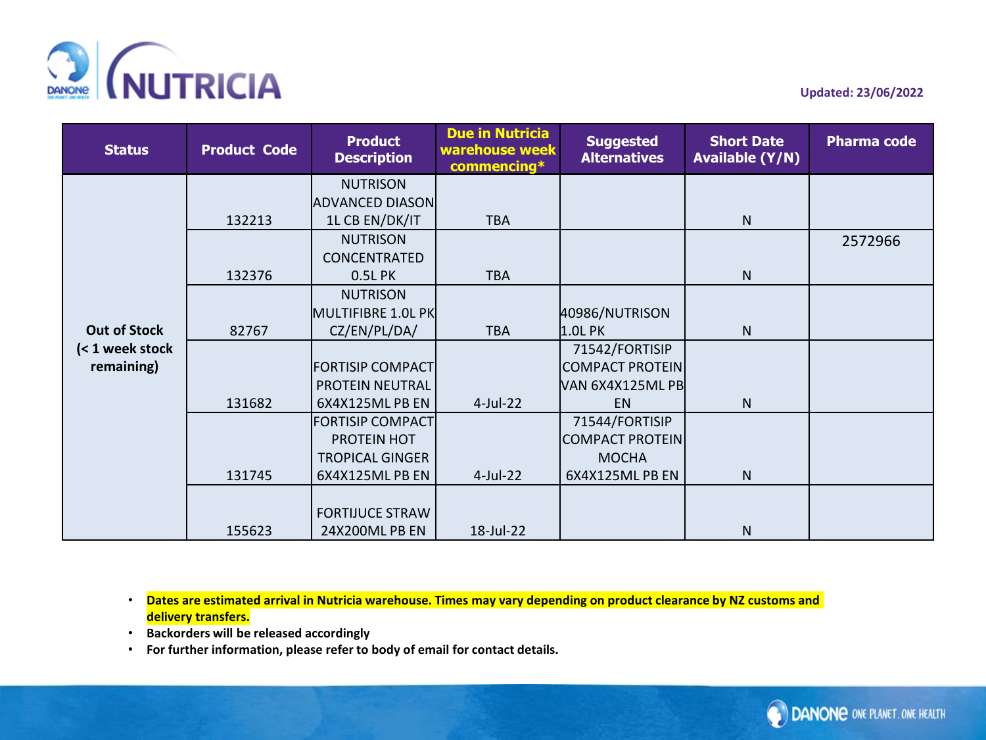

| <b>Status</b>                                        | <b>Product Code</b> | <b>Product</b><br><b>Description</b> | <b>Due in Nutricia</b><br>warehouse week<br>commencing* | <b>Suggested</b><br><b>Alternatives</b> | <b>Short Date</b><br><b>Available (Y/N)</b> | <b>Pharma code</b> |
|------------------------------------------------------|---------------------|--------------------------------------|---------------------------------------------------------|-----------------------------------------|---------------------------------------------|--------------------|
|                                                      |                     | <b>NUTRISON</b>                      |                                                         |                                         |                                             |                    |
|                                                      |                     | <b>ADVANCED DIASON</b>               |                                                         |                                         |                                             |                    |
|                                                      | 132213              | 1L CB EN/DK/IT                       | <b>TBA</b>                                              |                                         | $\mathsf{N}$                                |                    |
|                                                      |                     | <b>NUTRISON</b>                      |                                                         |                                         |                                             | 2572966            |
|                                                      |                     | CONCENTRATED                         |                                                         |                                         |                                             |                    |
|                                                      | 132376              | 0.5L PK                              | <b>TBA</b>                                              |                                         | $\mathsf{N}$                                |                    |
|                                                      |                     | <b>NUTRISON</b>                      |                                                         |                                         |                                             |                    |
| <b>Out of Stock</b><br>(< 1 week stock<br>remaining) |                     | MULTIFIBRE 1.0L PK                   |                                                         | 40986/NUTRISON                          |                                             |                    |
|                                                      | 82767               | CZ/EN/PL/DA/                         | <b>TBA</b>                                              | 1.OL PK                                 | $\mathsf{N}$                                |                    |
|                                                      |                     |                                      |                                                         | 71542/FORTISIP                          |                                             |                    |
|                                                      |                     | <b>FORTISIP COMPACT</b>              |                                                         | <b>COMPACT PROTEIN</b>                  |                                             |                    |
|                                                      |                     | <b>PROTEIN NEUTRAL</b>               |                                                         | VAN 6X4X125ML PB                        |                                             |                    |
|                                                      | 131682              | 6X4X125ML PB EN                      | $4$ -Jul-22                                             | <b>EN</b>                               | $\mathsf{N}$                                |                    |
|                                                      |                     | <b>FORTISIP COMPACT</b>              |                                                         | 71544/FORTISIP                          |                                             |                    |
|                                                      |                     | PROTEIN HOT                          |                                                         | <b>COMPACT PROTEIN</b>                  |                                             |                    |
|                                                      |                     | <b>TROPICAL GINGER</b>               |                                                         | <b>MOCHA</b>                            |                                             |                    |
|                                                      | 131745              | 6X4X125ML PB EN                      | 4-Jul-22                                                | 6X4X125ML PB EN                         | ${\sf N}$                                   |                    |
|                                                      |                     |                                      |                                                         |                                         |                                             |                    |
|                                                      |                     | <b>FORTIJUCE STRAW</b>               |                                                         |                                         |                                             |                    |
|                                                      | 155623              | 24X200ML PB EN                       | 18-Jul-22                                               |                                         | $\mathsf{N}$                                |                    |

- **Backorders will be released accordingly**
- **For further information, please refer to body of email for contact details.**

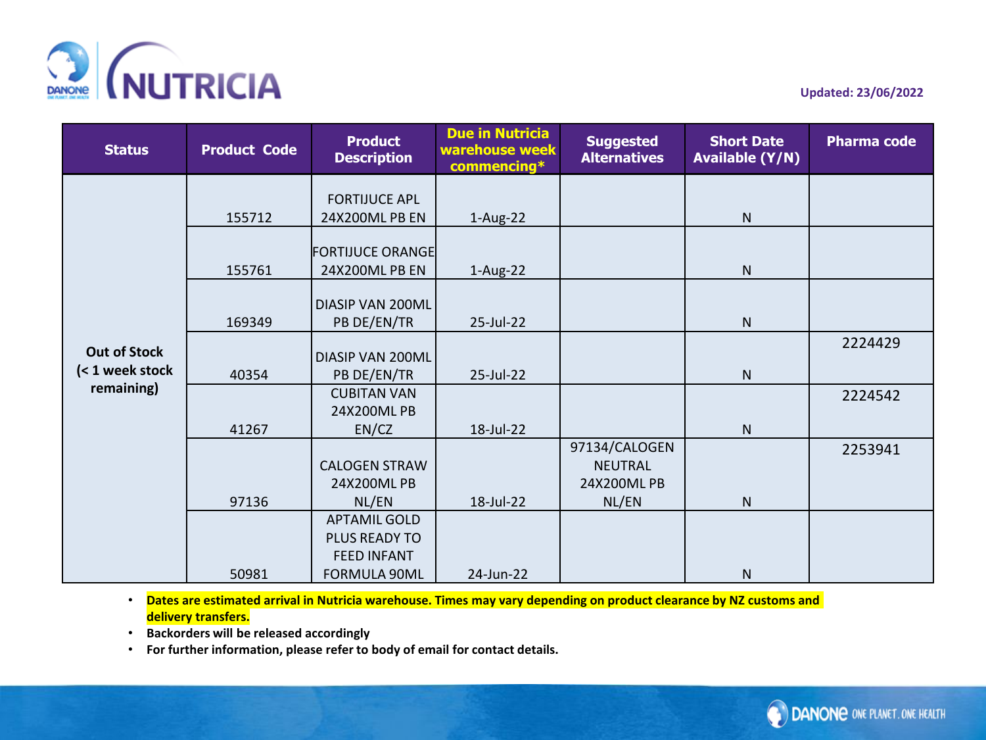

| <b>Status</b>                          | <b>Product Code</b> | <b>Product</b><br><b>Description</b>   | <b>Due in Nutricia</b><br>warehouse week<br>commencing* | <b>Suggested</b><br><b>Alternatives</b> | <b>Short Date</b><br><b>Available (Y/N)</b> | <b>Pharma code</b> |
|----------------------------------------|---------------------|----------------------------------------|---------------------------------------------------------|-----------------------------------------|---------------------------------------------|--------------------|
|                                        |                     |                                        |                                                         |                                         |                                             |                    |
|                                        | 155712              | <b>FORTIJUCE APL</b><br>24X200ML PB EN | $1-Aug-22$                                              |                                         | ${\sf N}$                                   |                    |
|                                        |                     |                                        |                                                         |                                         |                                             |                    |
|                                        |                     | <b>FORTIJUCE ORANGE</b>                |                                                         |                                         |                                             |                    |
|                                        | 155761              | 24X200ML PB EN                         | $1-Aug-22$                                              |                                         | ${\sf N}$                                   |                    |
|                                        |                     | <b>DIASIP VAN 200ML</b>                |                                                         |                                         |                                             |                    |
| <b>Out of Stock</b><br>(< 1 week stock | 169349              | PB DE/EN/TR                            | 25-Jul-22                                               |                                         | ${\sf N}$                                   |                    |
|                                        |                     |                                        |                                                         |                                         |                                             | 2224429            |
|                                        |                     | <b>DIASIP VAN 200ML</b>                |                                                         |                                         |                                             |                    |
| remaining)                             | 40354               | PB DE/EN/TR<br><b>CUBITAN VAN</b>      | 25-Jul-22                                               |                                         | ${\sf N}$                                   |                    |
|                                        |                     | 24X200ML PB                            |                                                         |                                         |                                             | 2224542            |
|                                        | 41267               | EN/CZ                                  | 18-Jul-22                                               |                                         | $\mathsf{N}$                                |                    |
|                                        |                     |                                        |                                                         | 97134/CALOGEN                           |                                             | 2253941            |
|                                        |                     | <b>CALOGEN STRAW</b>                   |                                                         | <b>NEUTRAL</b>                          |                                             |                    |
|                                        |                     | 24X200ML PB                            |                                                         | 24X200ML PB                             |                                             |                    |
|                                        | 97136               | NL/EN                                  | 18-Jul-22                                               | NL/EN                                   | ${\sf N}$                                   |                    |
|                                        |                     | <b>APTAMIL GOLD</b>                    |                                                         |                                         |                                             |                    |
|                                        |                     | PLUS READY TO                          |                                                         |                                         |                                             |                    |
|                                        |                     | <b>FEED INFANT</b>                     |                                                         |                                         |                                             |                    |
|                                        | 50981               | FORMULA 90ML                           | 24-Jun-22                                               |                                         | ${\sf N}$                                   |                    |

- **Backorders will be released accordingly**
- **For further information, please refer to body of email for contact details.**

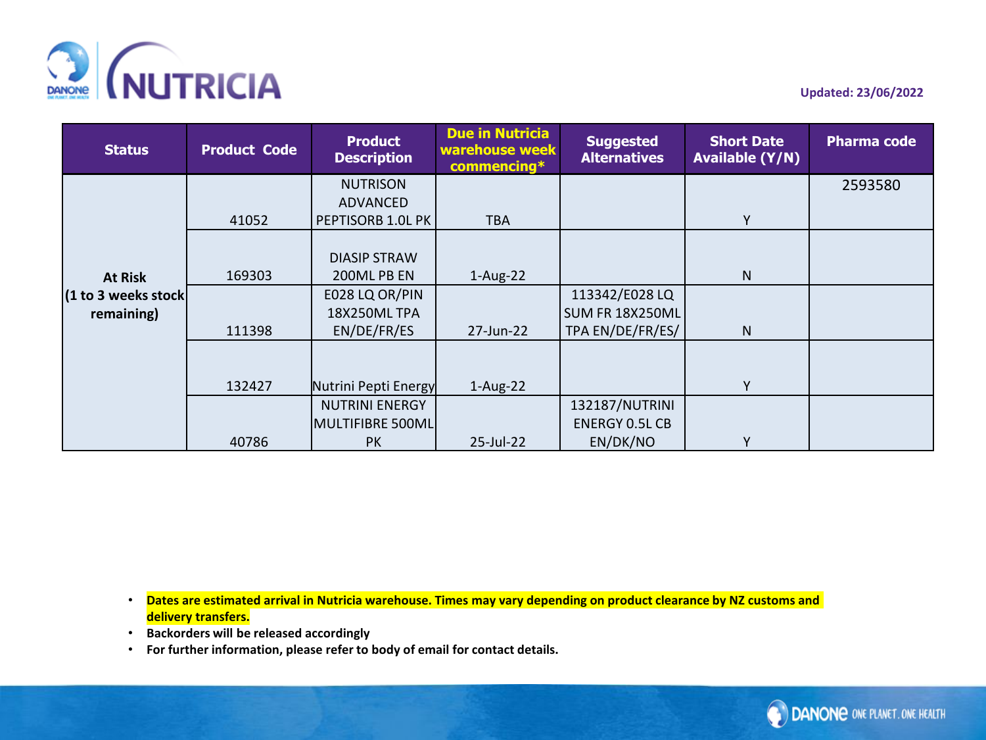

| <b>Status</b>        | <b>Product Code</b> | <b>Product</b><br><b>Description</b> | <b>Due in Nutricia</b><br>warehouse week<br>commencing* | <b>Suggested</b><br><b>Alternatives</b> | <b>Short Date</b><br><b>Available (Y/N)</b> | <b>Pharma code</b> |
|----------------------|---------------------|--------------------------------------|---------------------------------------------------------|-----------------------------------------|---------------------------------------------|--------------------|
|                      |                     | <b>NUTRISON</b>                      |                                                         |                                         |                                             | 2593580            |
|                      |                     | ADVANCED                             |                                                         |                                         |                                             |                    |
|                      | 41052               | PEPTISORB 1.0L PK                    | <b>TBA</b>                                              |                                         | Y                                           |                    |
|                      |                     |                                      |                                                         |                                         |                                             |                    |
|                      |                     | <b>DIASIP STRAW</b>                  |                                                         |                                         |                                             |                    |
| <b>At Risk</b>       | 169303              | 200ML PB EN                          | $1-Aug-22$                                              |                                         | N                                           |                    |
| (1 to 3 weeks stock) |                     | E028 LQ OR/PIN                       |                                                         | 113342/E028 LQ                          |                                             |                    |
| remaining)           |                     | <b>18X250ML TPA</b>                  |                                                         | SUM FR 18X250ML                         |                                             |                    |
|                      | 111398              | EN/DE/FR/ES                          | 27-Jun-22                                               | TPA EN/DE/FR/ES/                        | N                                           |                    |
|                      |                     |                                      |                                                         |                                         |                                             |                    |
|                      | 132427              | Nutrini Pepti Energy                 | $1-Aug-22$                                              |                                         | Y                                           |                    |
|                      |                     | <b>NUTRINI ENERGY</b>                |                                                         | 132187/NUTRINI                          |                                             |                    |
|                      |                     | MULTIFIBRE 500ML                     |                                                         | <b>ENERGY 0.5L CB</b>                   |                                             |                    |
|                      | 40786               | <b>PK</b>                            | 25-Jul-22                                               | EN/DK/NO                                | ٧                                           |                    |

- **Backorders will be released accordingly**
- **For further information, please refer to body of email for contact details.**

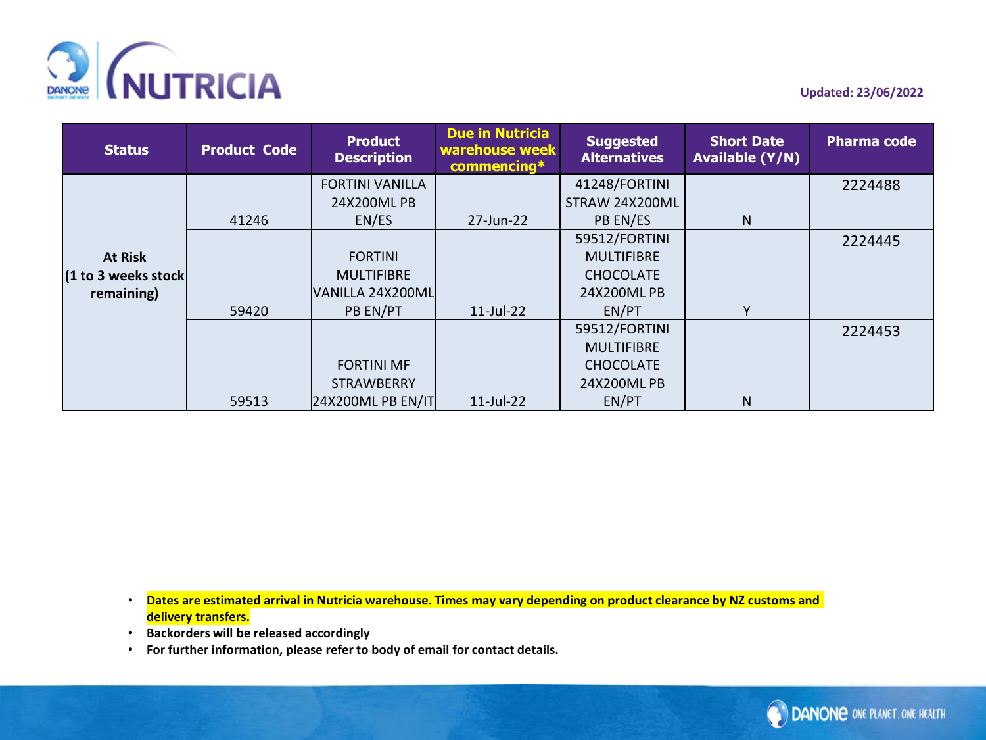

| <b>Status</b>        | <b>Product Code</b> | <b>Product</b><br><b>Description</b> | <b>Due in Nutricia</b><br>warehouse week<br>$commencing*$ | <b>Suggested</b><br><b>Alternatives</b> | <b>Short Date</b><br><b>Available (Y/N)</b> | <b>Pharma code</b> |
|----------------------|---------------------|--------------------------------------|-----------------------------------------------------------|-----------------------------------------|---------------------------------------------|--------------------|
|                      |                     | <b>FORTINI VANILLA</b>               |                                                           | 41248/FORTINI                           |                                             | 2224488            |
|                      |                     | 24X200ML PB                          |                                                           | STRAW 24X200ML                          |                                             |                    |
|                      | 41246               | EN/ES                                | 27-Jun-22                                                 | PB EN/ES                                | N                                           |                    |
|                      |                     |                                      |                                                           | 59512/FORTINI                           |                                             | 2224445            |
| <b>At Risk</b>       |                     | <b>FORTINI</b>                       |                                                           | <b>MULTIFIBRE</b>                       |                                             |                    |
| (1 to 3 weeks stock) |                     | <b>MULTIFIBRE</b>                    |                                                           | <b>CHOCOLATE</b>                        |                                             |                    |
| remaining)           |                     | VANILLA 24X200ML                     |                                                           | 24X200ML PB                             |                                             |                    |
|                      | 59420               | PB EN/PT                             | $11$ -Jul-22                                              | EN/PT                                   | Υ                                           |                    |
|                      |                     |                                      |                                                           | 59512/FORTINI                           |                                             | 2224453            |
|                      |                     |                                      |                                                           | <b>MULTIFIBRE</b>                       |                                             |                    |
|                      |                     | <b>FORTINI MF</b>                    |                                                           | <b>CHOCOLATE</b>                        |                                             |                    |
|                      |                     | <b>STRAWBERRY</b>                    |                                                           | 24X200ML PB                             |                                             |                    |
|                      | 59513               | 24X200ML PB EN/IT                    | $11$ -Jul-22                                              | EN/PT                                   | N                                           |                    |

- **Backorders will be released accordingly**
- **For further information, please refer to body of email for contact details.**